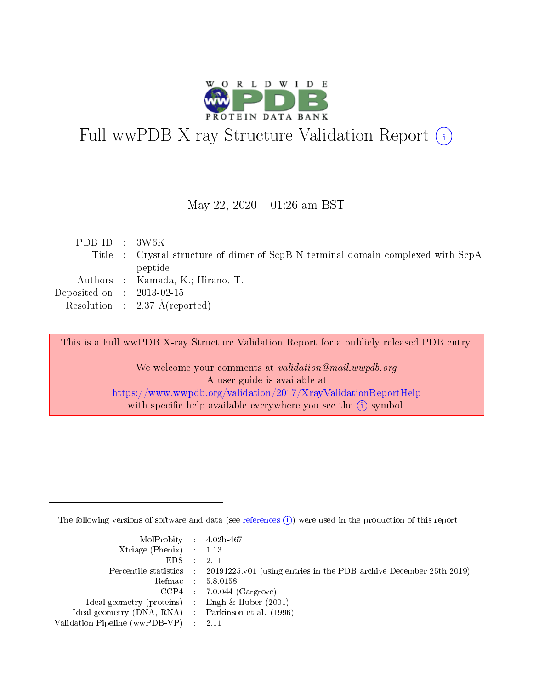

# Full wwPDB X-ray Structure Validation Report (i)

May 22,  $2020 - 01:26$  am BST

| PDB ID : $3W6K$             |                                                                                  |
|-----------------------------|----------------------------------------------------------------------------------|
|                             | Title : Crystal structure of dimer of ScpB N-terminal domain complexed with ScpA |
|                             | peptide                                                                          |
|                             | Authors : Kamada, K.; Hirano, T.                                                 |
| Deposited on : $2013-02-15$ |                                                                                  |
|                             | Resolution : $2.37 \text{ Å}$ (reported)                                         |
|                             |                                                                                  |

This is a Full wwPDB X-ray Structure Validation Report for a publicly released PDB entry.

We welcome your comments at validation@mail.wwpdb.org A user guide is available at <https://www.wwpdb.org/validation/2017/XrayValidationReportHelp> with specific help available everywhere you see the  $(i)$  symbol.

The following versions of software and data (see [references](https://www.wwpdb.org/validation/2017/XrayValidationReportHelp#references)  $(i)$ ) were used in the production of this report:

| $MolProbability$ 4.02b-467                          |                                                                                            |
|-----------------------------------------------------|--------------------------------------------------------------------------------------------|
| Xtriage (Phenix) $: 1.13$                           |                                                                                            |
| $EDS$ :                                             | -2.11                                                                                      |
|                                                     | Percentile statistics : 20191225.v01 (using entries in the PDB archive December 25th 2019) |
|                                                     | Refmac : 5.8.0158                                                                          |
|                                                     | $CCP4$ : 7.0.044 (Gargrove)                                                                |
| Ideal geometry (proteins) : Engh $\&$ Huber (2001)  |                                                                                            |
| Ideal geometry (DNA, RNA) : Parkinson et al. (1996) |                                                                                            |
| Validation Pipeline (wwPDB-VP)                      | -2.11                                                                                      |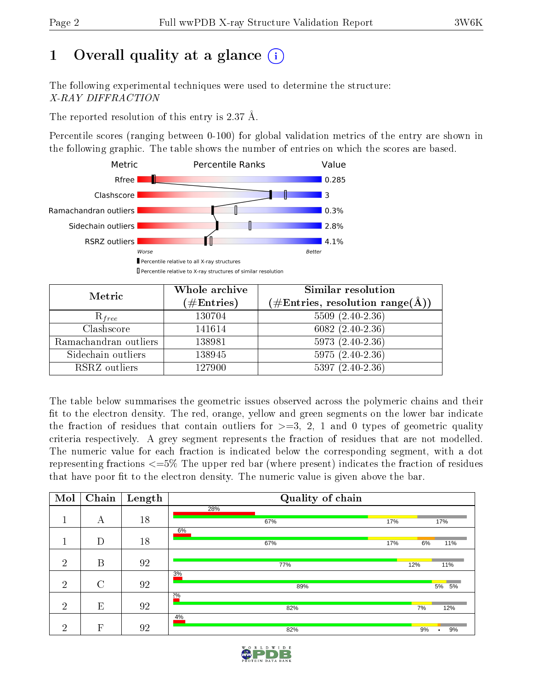# 1 [O](https://www.wwpdb.org/validation/2017/XrayValidationReportHelp#overall_quality)verall quality at a glance  $(i)$

The following experimental techniques were used to determine the structure: X-RAY DIFFRACTION

The reported resolution of this entry is 2.37 Å.

Percentile scores (ranging between 0-100) for global validation metrics of the entry are shown in the following graphic. The table shows the number of entries on which the scores are based.



| Metric                | Whole archive<br>$(\#\mathrm{Entries})$ | Similar resolution<br>$(\#\text{Entries},\, \text{resolution}\; \text{range}(\textup{\AA}))$ |  |  |
|-----------------------|-----------------------------------------|----------------------------------------------------------------------------------------------|--|--|
| $R_{free}$            | 130704                                  | $5509(2.40-2.36)$                                                                            |  |  |
| Clashscore            | 141614                                  | $6082(2.40-2.36)$                                                                            |  |  |
| Ramachandran outliers | 138981                                  | $5973(2.40-2.36)$                                                                            |  |  |
| Sidechain outliers    | 138945                                  | $5975(2.40-2.36)$                                                                            |  |  |
| RSRZ outliers         | 127900                                  | $5397(2.40-2.36)$                                                                            |  |  |

The table below summarises the geometric issues observed across the polymeric chains and their fit to the electron density. The red, orange, yellow and green segments on the lower bar indicate the fraction of residues that contain outliers for  $>=3, 2, 1$  and 0 types of geometric quality criteria respectively. A grey segment represents the fraction of residues that are not modelled. The numeric value for each fraction is indicated below the corresponding segment, with a dot representing fractions  $\epsilon=5\%$  The upper red bar (where present) indicates the fraction of residues that have poor fit to the electron density. The numeric value is given above the bar.

| Mol            | Chain   | Length | Quality of chain |     |               |
|----------------|---------|--------|------------------|-----|---------------|
|                |         |        | 28%              |     |               |
|                | А       | 18     | 67%              | 17% | 17%           |
|                |         |        | 6%               |     |               |
|                | D       | 18     | 67%              | 17% | 6%<br>11%     |
|                |         |        |                  |     |               |
| $\overline{2}$ | B       | 92     | 77%              |     | 12%<br>11%    |
|                |         |        | 3%               |     |               |
| $\overline{2}$ | $\rm C$ | 92     | 89%              |     | 5% 5%         |
|                |         |        | $2\%$            |     |               |
| $\overline{2}$ | E       | 92     | 82%              |     | 7%<br>12%     |
|                |         |        | 4%               |     |               |
| $\overline{2}$ | F       | 92     | 82%              |     | 9%<br>9%<br>٠ |

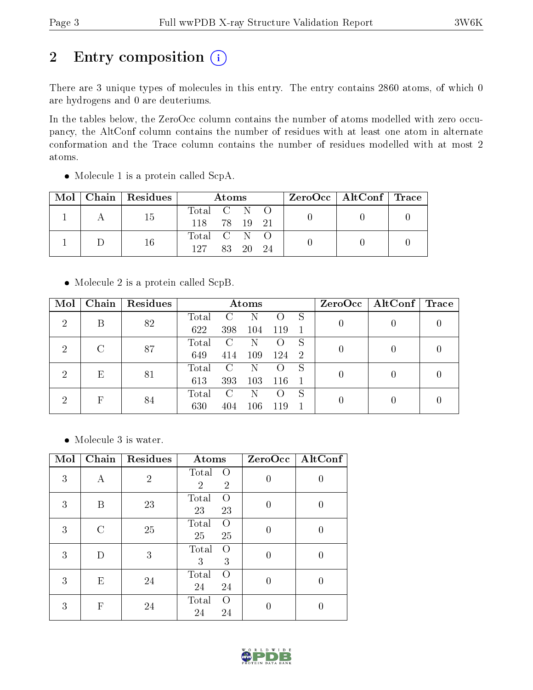# 2 Entry composition (i)

There are 3 unique types of molecules in this entry. The entry contains 2860 atoms, of which 0 are hydrogens and 0 are deuteriums.

In the tables below, the ZeroOcc column contains the number of atoms modelled with zero occupancy, the AltConf column contains the number of residues with at least one atom in alternate conformation and the Trace column contains the number of residues modelled with at most 2 atoms.

|  | $\text{Mol}$   Chain   Residues | Atoms        |              |  |  | $\text{ZeroOcc} \mid \text{AltConf} \mid \text{Trace}$ |  |
|--|---------------------------------|--------------|--------------|--|--|--------------------------------------------------------|--|
|  | 15                              | Total C N O  |              |  |  |                                                        |  |
|  |                                 | 118 78 19 21 |              |  |  |                                                        |  |
|  | 16                              | Total C N O  |              |  |  |                                                        |  |
|  |                                 |              | 127 83 20 24 |  |  |                                                        |  |

• Molecule 1 is a protein called ScpA.

• Molecule 2 is a protein called ScpB.

| Mol                         | Chain | Residues | Atoms |               |     |     |    | ZeroOcc | $\mid$ AltConf $\mid$ | $\operatorname{Trace}$ |
|-----------------------------|-------|----------|-------|---------------|-----|-----|----|---------|-----------------------|------------------------|
| $\overline{2}$              | В     | 82       | Total | $\mathcal{C}$ | N   |     | S  |         |                       |                        |
|                             |       |          | 622   | 398           | 104 | 119 |    |         |                       |                        |
| $\overline{2}$              | C     | 87       | Total | C             | N   |     | S  |         |                       |                        |
|                             |       |          | 649   | 414           | 109 | 124 | -2 |         |                       |                        |
| $\mathcal{D}_{\mathcal{A}}$ | E     |          | Total | <b>C</b>      | N   |     | S  |         |                       |                        |
|                             | 81    | 613      | 393   | 103           | 116 |     |    |         |                       |                        |
| 2                           | F     |          | Total | <b>C</b> :    | N   |     | S  |         |                       |                        |
|                             | 84    | 630      | 404   | $106\,$       | 119 |     |    |         |                       |                        |

Molecule 3 is water.

| Mol | Chain | Residues       | Atoms                                                 | ZeroOcc | AltConf |
|-----|-------|----------------|-------------------------------------------------------|---------|---------|
| 3   | А     | $\overline{2}$ | Total<br>$\Omega$<br>$\overline{2}$<br>$\overline{2}$ | 0       | 0       |
| 3   | B     | 23             | Total<br>$\Omega$<br>23<br>23                         | 0       | U       |
| 3   |       | 25             | Total<br>$\Omega$<br>25<br>25                         | 0       |         |
| 3   |       | 3              | Total<br>Ω<br>3<br>3                                  | 0       | 0       |
| 3   | E     | 24             | Total<br>$\Omega$<br>24<br>24                         | 0       | 0       |
| 3   | F     | 24             | Total<br>$\Omega$<br>24<br>24                         |         |         |

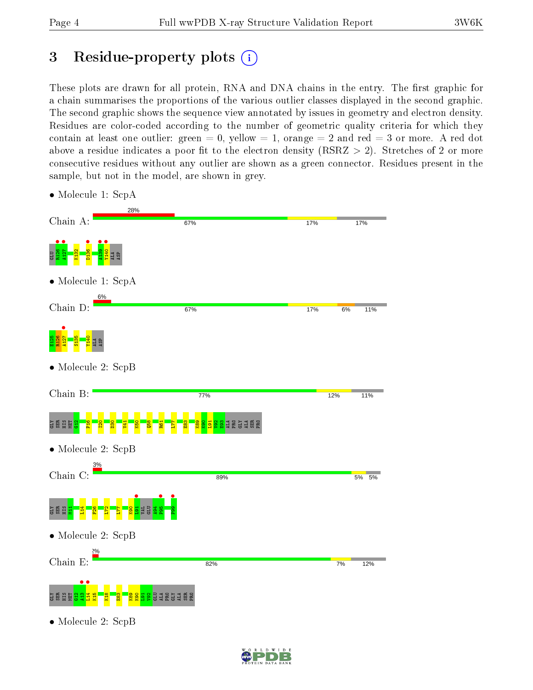## 3 Residue-property plots  $(i)$

These plots are drawn for all protein, RNA and DNA chains in the entry. The first graphic for a chain summarises the proportions of the various outlier classes displayed in the second graphic. The second graphic shows the sequence view annotated by issues in geometry and electron density. Residues are color-coded according to the number of geometric quality criteria for which they contain at least one outlier: green  $= 0$ , yellow  $= 1$ , orange  $= 2$  and red  $= 3$  or more. A red dot above a residue indicates a poor fit to the electron density (RSRZ  $> 2$ ). Stretches of 2 or more consecutive residues without any outlier are shown as a green connector. Residues present in the sample, but not in the model, are shown in grey.



• Molecule 1: ScpA

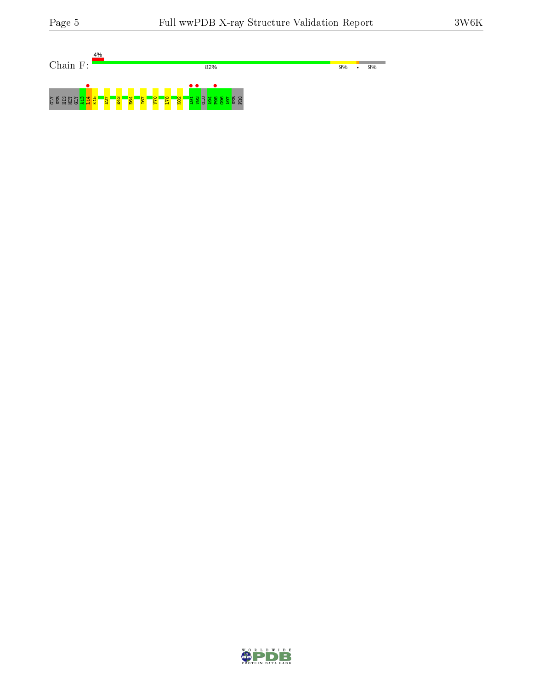| 4%                                                                               |                                                                                                    |               |
|----------------------------------------------------------------------------------|----------------------------------------------------------------------------------------------------|---------------|
| Chain<br>F:                                                                      | 82%                                                                                                | 9%<br>9%<br>٠ |
|                                                                                  |                                                                                                    |               |
|                                                                                  | $\bullet$ .                                                                                        |               |
| E64<br><mark>日3</mark><br><b>GDS</b><br><b>ZZ</b><br>NET<br>GLY<br>HIS<br>≃<br>œ | - <mark>연</mark><br>$\frac{1}{182}$<br> O <br>$\frac{167}{2}$<br><b>PER</b><br>PER<br>÷.<br>c<br>w |               |

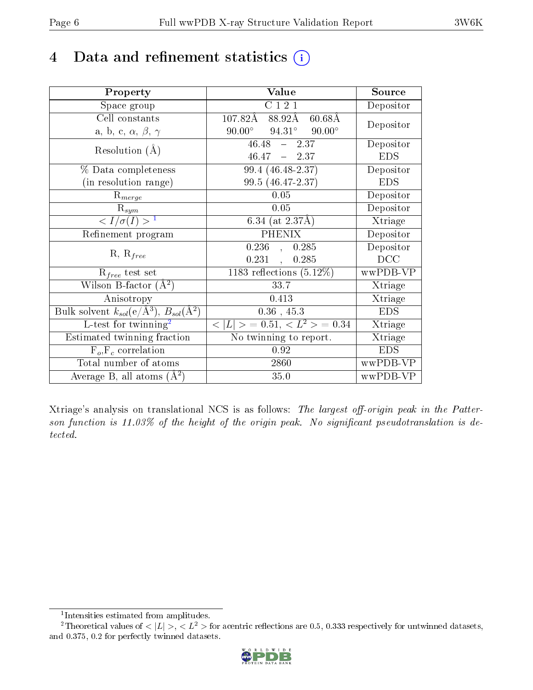## 4 Data and refinement statistics  $(i)$

| Property                                                         | Value                                             | Source     |
|------------------------------------------------------------------|---------------------------------------------------|------------|
| Space group                                                      | C121                                              | Depositor  |
| Cell constants                                                   | $107.82\text{\AA}$<br>88.92Å<br>$60.68\text{\AA}$ |            |
| a, b, c, $\alpha$ , $\beta$ , $\gamma$                           | $90.00^\circ$<br>$94.31^\circ$<br>$90.00^\circ$   | Depositor  |
| Resolution $(A)$                                                 | $46.48 - 2.37$                                    | Depositor  |
|                                                                  | $46.47 - 2.37$                                    | <b>EDS</b> |
| % Data completeness                                              | 99.4 (46.48-2.37)                                 | Depositor  |
| (in resolution range)                                            | 99.5 (46.47-2.37)                                 | <b>EDS</b> |
| $R_{merge}$                                                      | 0.05                                              | Depositor  |
| $\mathrm{R}_{sym}$                                               | 0.05                                              | Depositor  |
| $\langle I/\sigma(I) \rangle^{-1}$                               | 6.34 (at $2.37\text{\AA}$ )                       | Xtriage    |
| Refinement program                                               | <b>PHENIX</b>                                     | Depositor  |
|                                                                  | 0.236,<br>0.285                                   | Depositor  |
| $R, R_{free}$                                                    | 0.231<br>0.285                                    | DCC        |
| $R_{free}$ test set                                              | 1183 reflections $(5.12\%)$                       | wwPDB-VP   |
| Wilson B-factor $(A^2)$                                          | 33.7                                              | Xtriage    |
| Anisotropy                                                       | 0.413                                             | Xtriage    |
| Bulk solvent $k_{sol}(\text{e}/\text{A}^3), B_{sol}(\text{A}^2)$ | $0.36$ , 45.3                                     | <b>EDS</b> |
| L-test for twinning <sup>2</sup>                                 | $< L >$ = 0.51, $< L^2 >$ = 0.34                  | Xtriage    |
| Estimated twinning fraction                                      | No twinning to report.                            | Xtriage    |
| $F_o, F_c$ correlation                                           | 0.92                                              | <b>EDS</b> |
| Total number of atoms                                            | 2860                                              | wwPDB-VP   |
| Average B, all atoms $(A^2)$                                     | 35.0                                              | wwPDB-VP   |

Xtriage's analysis on translational NCS is as follows: The largest off-origin peak in the Patterson function is  $11.03\%$  of the height of the origin peak. No significant pseudotranslation is detected.

<sup>&</sup>lt;sup>2</sup>Theoretical values of  $\langle |L| \rangle$ ,  $\langle L^2 \rangle$  for acentric reflections are 0.5, 0.333 respectively for untwinned datasets, and 0.375, 0.2 for perfectly twinned datasets.



<span id="page-5-1"></span><span id="page-5-0"></span><sup>1</sup> Intensities estimated from amplitudes.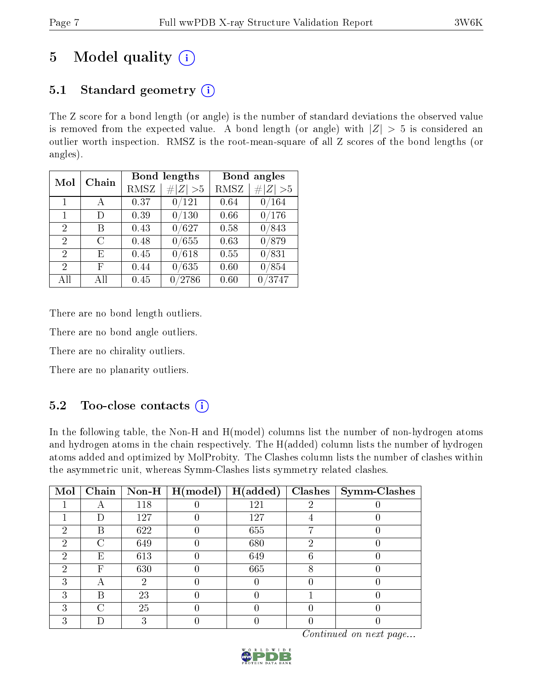# 5 Model quality  $(i)$

### 5.1 Standard geometry  $(i)$

The Z score for a bond length (or angle) is the number of standard deviations the observed value is removed from the expected value. A bond length (or angle) with  $|Z| > 5$  is considered an outlier worth inspection. RMSZ is the root-mean-square of all Z scores of the bond lengths (or angles).

| Mol            | Chain |      | <b>Bond lengths</b> | Bond angles |             |  |
|----------------|-------|------|---------------------|-------------|-------------|--|
|                |       | RMSZ | # $ Z  > 5$         | RMSZ        | # $ Z  > 5$ |  |
| $\mathbf{1}$   | A     | 0.37 | $\overline{0}/121$  | 0.64        | 0/164       |  |
| $\mathbf{1}$   | I)    | 0.39 | 0/130               | 0.66        | 0/176       |  |
| 2              | В     | 0.43 | 0/627               | 0.58        | 0/843       |  |
| 2              | С     | 0.48 | 0/655               | 0.63        | 0/879       |  |
| $\mathfrak{D}$ | E     | 0.45 | 0/618               | 0.55        | 0/831       |  |
| $\overline{2}$ | F     | 0.44 | 0/635               | 0.60        | 0/854       |  |
| All            | All   | 0.45 | /2786               | 0.60        | 0/3747      |  |

There are no bond length outliers.

There are no bond angle outliers.

There are no chirality outliers.

There are no planarity outliers.

### $5.2$  Too-close contacts  $(i)$

In the following table, the Non-H and H(model) columns list the number of non-hydrogen atoms and hydrogen atoms in the chain respectively. The H(added) column lists the number of hydrogen atoms added and optimized by MolProbity. The Clashes column lists the number of clashes within the asymmetric unit, whereas Symm-Clashes lists symmetry related clashes.

| Mol |   |     | $\boxed{\text{Chain}}$ Non-H   H(model) | H(added) |   | $Clashes$   Symm-Clashes |
|-----|---|-----|-----------------------------------------|----------|---|--------------------------|
|     |   | 118 |                                         | 121      | ച |                          |
|     |   | 127 |                                         | 127      |   |                          |
| റ   | В | 622 |                                         | 655      |   |                          |
| 2   | ⌒ | 649 |                                         | 680      | റ |                          |
| 2   | Ε | 613 |                                         | 649      |   |                          |
| 2   | F | 630 |                                         | 665      |   |                          |
| 3   |   | ٠,  |                                         |          |   |                          |
| 3   | В | 23  |                                         |          |   |                          |
| 3   | C | 25  |                                         |          |   |                          |
| 3   |   |     |                                         |          |   |                          |

Continued on next page...

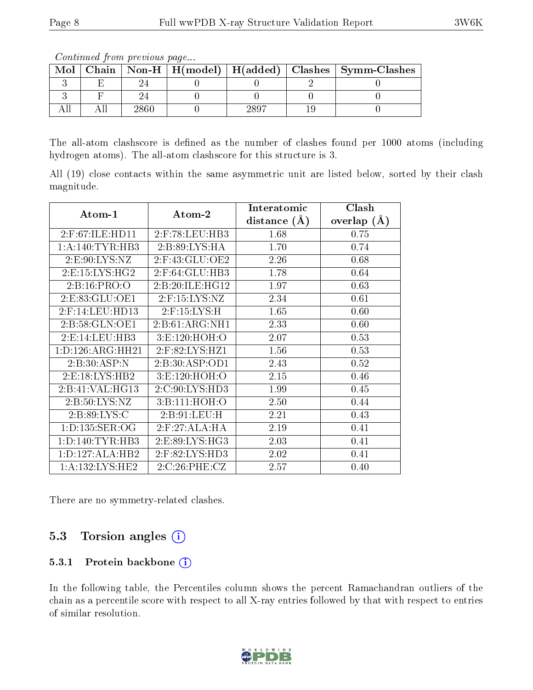Continued from previous page...

| Mol |  |  | $\boxed{\text{Chain} \mid \text{Non-H} \mid \text{H}(\text{model}) \mid \text{H}(\text{added}) \mid \text{Class} \mid \text{Symm-Class}}$ |
|-----|--|--|-------------------------------------------------------------------------------------------------------------------------------------------|
|     |  |  |                                                                                                                                           |
|     |  |  |                                                                                                                                           |
|     |  |  |                                                                                                                                           |

The all-atom clashscore is defined as the number of clashes found per 1000 atoms (including hydrogen atoms). The all-atom clashscore for this structure is 3.

All (19) close contacts within the same asymmetric unit are listed below, sorted by their clash magnitude.

|                      |                    | Interatomic    | Clash         |
|----------------------|--------------------|----------------|---------------|
| Atom-1               | Atom-2             | distance $(A)$ | overlap $(A)$ |
| 2:F:67:ILE:HD11      | $2:$ F:78:LEU:HB3  | 1.68           | 0.75          |
| 1: A:140: TYR:HB3    | 2:B:89:LYS:HA      | 1.70           | 0.74          |
| 2: E: 90: LYS: NZ    | $2:$ F:43:GLU:OE2  | 2.26           | 0.68          |
| 2: E: 15: LYS: HG2   | $2:$ F:64:GLU:HB3  | 1.78           | 0.64          |
| 2:Bi:16:PRO:O        | 2: B:20: ILE: HG12 | 1.97           | 0.63          |
| 2:E:83:GLU:OE1       | $2:$ F:15:LYS:NZ   | 2.34           | 0.61          |
| 2:F:14:LEU:HD13      | $2:$ F:15:LYS:H    | 1.65           | 0.60          |
| 2:B:58:GLN:OE1       | 2:B:61:ARG:NH1     | 2.33           | 0.60          |
| 2: E: 14: LEU: HB3   | 3: E: 120: HOH:O   | 2.07           | 0.53          |
| 1: D: 126: ARG: HH21 | 2:F:82:LYS:HZ1     | 1.56           | 0.53          |
| 2:B:30:ASP:N         | 2:B:30:ASP:OD1     | 2.43           | 0.52          |
| 2: E: 18: LYS: HB2   | 3:E:120:HOH:O      | 2.15           | 0.46          |
| 2:B:41:VAL:HG13      | 2:C:90:LYS:HD3     | 1.99           | 0.45          |
| 2: B: 50: LYS: NZ    | 3:B:111:HOH:O      | 2.50           | 0.44          |
| 2:B:89:LYS:C         | 2: B: 91: LEU: H   | 2.21           | 0.43          |
| 1: D: 135: SER: OG   | 2: F:27:ALA:HA     | 2.19           | 0.41          |
| 1: D: 140: TYR: HB3  | 2:E:89:LYS:HG3     | 2.03           | 0.41          |
| 1: D: 127: ALA: HB2  | 2:F:82:LYS:HD3     | 2.02           | 0.41          |
| 1: A: 132: LYS: HE2  | 2:C:26:PHE:CZ      | 2.57           | 0.40          |

There are no symmetry-related clashes.

### 5.3 Torsion angles (i)

#### 5.3.1 Protein backbone (i)

In the following table, the Percentiles column shows the percent Ramachandran outliers of the chain as a percentile score with respect to all X-ray entries followed by that with respect to entries of similar resolution.

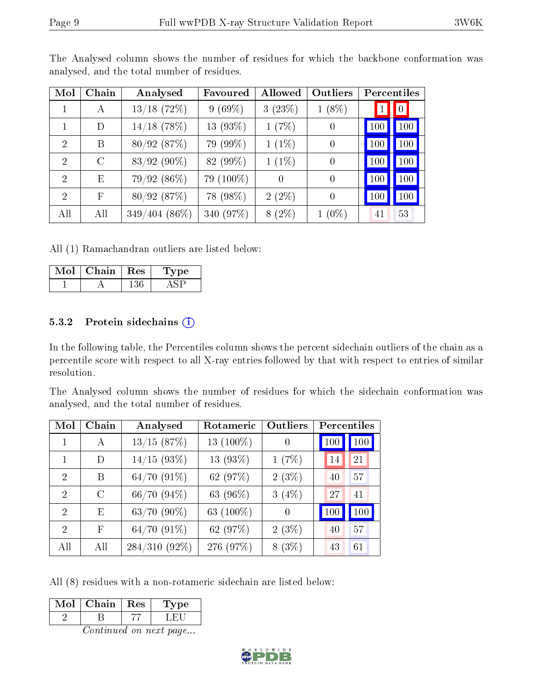| Mol                         | Chain        | Analysed        | Favoured  | Allowed  | Outliers       | Percentiles |                  |
|-----------------------------|--------------|-----------------|-----------|----------|----------------|-------------|------------------|
| 1                           | А            | $13/18$ (72%)   | $9(69\%)$ | 3(23%)   | $1(8\%)$       |             | $\boldsymbol{0}$ |
|                             | D            | $14/18$ (78%)   | 13 (93%)  | 1(7%)    | $\theta$       | 100         | 100              |
| $\mathcal{P}$               | B            | 80/92(87%)      | 79 (99%)  | $1(1\%)$ | $\theta$       | 100         | 100              |
| $\mathcal{D}_{\mathcal{A}}$ | $\rm C$      | $83/92(90\%)$   | 82 (99%)  | $1(1\%)$ | $\overline{0}$ | 100         | 100              |
| $\mathcal{D}_{\mathcal{A}}$ | E            | $79/92(86\%)$   | 79 (100%) | $\theta$ | $\overline{0}$ | 100         | 100              |
| $\mathcal{D}_{\mathcal{A}}$ | $\mathbf{F}$ | 80/92(87%)      | 78 (98%)  | $2(2\%)$ | $\theta$       | 100         | 100              |
| All                         | All          | $349/404(86\%)$ | 340 (97%) | $8(2\%)$ | $1(0\%)$       | 41          | 53               |

The Analysed column shows the number of residues for which the backbone conformation was analysed, and the total number of residues.

All (1) Ramachandran outliers are listed below:

| Chain | $\operatorname{Res}$ | vpe |
|-------|----------------------|-----|
|       |                      |     |

#### 5.3.2 Protein sidechains  $(i)$

In the following table, the Percentiles column shows the percent sidechain outliers of the chain as a percentile score with respect to all X-ray entries followed by that with respect to entries of similar resolution.

The Analysed column shows the number of residues for which the sidechain conformation was analysed, and the total number of residues.

| Mol            | Chain         | Analysed         | Rotameric   | <b>Outliers</b> | Percentiles |     |
|----------------|---------------|------------------|-------------|-----------------|-------------|-----|
|                | A             | 13/15(87%)       | 13 (100%)   | $\theta$        | 100         | 100 |
|                | D             | $14/15$ (93%)    | 13 $(93\%)$ | 1(7%)           | 14          | 21  |
| $\mathfrak{D}$ | В             | $64/70(91\%)$    | 62 (97%)    | $2(3\%)$        | 40          | 57  |
| $\mathfrak{D}$ | $\mathcal{C}$ | 66/70(94%)       | 63 (96%)    | $3(4\%)$        | 27          | 41  |
| 2              | E             | $63/70$ $(90\%)$ | 63 (100%)   | $\Omega$        | 100         | 100 |
| $\mathfrak{D}$ | F             | $64/70(91\%)$    | 62 (97%)    | $2(3\%)$        | 40          | 57  |
| All            | All           | $284/310(92\%)$  | 276 (97%)   | $8(3\%)$        | 43          | 61  |

All (8) residues with a non-rotameric sidechain are listed below:

| Mol | Chain. | Res | Type |
|-----|--------|-----|------|
|     |        |     |      |

Continued on next page...

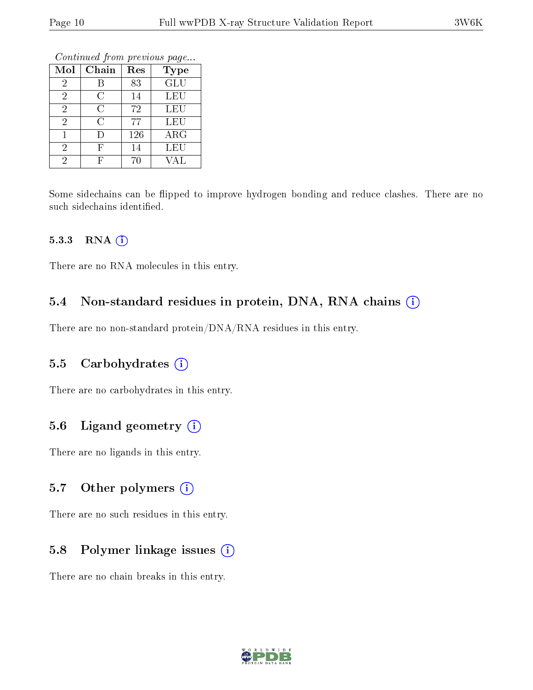Continued from previous page...

| Mol            | Chain          | Res | Type       |
|----------------|----------------|-----|------------|
| 2              |                | 83  | <b>GLU</b> |
| $\overline{2}$ | С              | 14  | LEU        |
| 2              | C              | 72  | LEU        |
| 2              | $\overline{C}$ | 77  | LEU        |
|                |                | 126 | ARG        |
| 2              | F              | 14  | LEU        |
| 2              |                | 70  | VAL        |

Some sidechains can be flipped to improve hydrogen bonding and reduce clashes. There are no such sidechains identified.

#### 5.3.3 RNA (i)

There are no RNA molecules in this entry.

#### 5.4 Non-standard residues in protein, DNA, RNA chains  $(i)$

There are no non-standard protein/DNA/RNA residues in this entry.

#### 5.5 Carbohydrates  $(i)$

There are no carbohydrates in this entry.

#### 5.6 Ligand geometry (i)

There are no ligands in this entry.

#### 5.7 [O](https://www.wwpdb.org/validation/2017/XrayValidationReportHelp#nonstandard_residues_and_ligands)ther polymers  $(i)$

There are no such residues in this entry.

#### 5.8 Polymer linkage issues  $(i)$

There are no chain breaks in this entry.

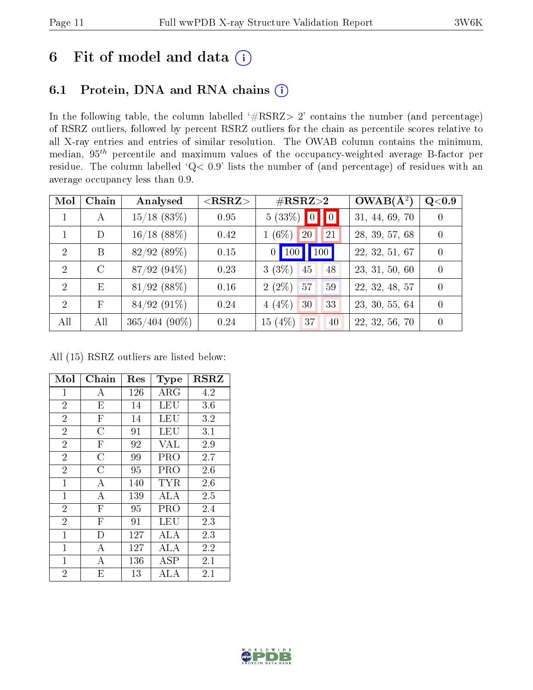### 6 Fit of model and data  $(i)$

### 6.1 Protein, DNA and RNA chains  $(i)$

In the following table, the column labelled  $#RSRZ> 2'$  contains the number (and percentage) of RSRZ outliers, followed by percent RSRZ outliers for the chain as percentile scores relative to all X-ray entries and entries of similar resolution. The OWAB column contains the minimum, median,  $95<sup>th</sup>$  percentile and maximum values of the occupancy-weighted average B-factor per residue. The column labelled ' $Q< 0.9$ ' lists the number of (and percentage) of residues with an average occupancy less than 0.9.

| Mol           | Chain         | Analysed         | $<$ RSRZ $>$ | $\#\text{RSRZ}\text{>2}$ | $OWAB(A^2)$    | $\rm Q\textcolor{black}{<}0.9$ |
|---------------|---------------|------------------|--------------|--------------------------|----------------|--------------------------------|
|               | $\mathbf{A}$  | $15/18$ (83%)    | 0.95         | $5(33\%)$ 0 0            | 31, 44, 69, 70 | $\left( \right)$               |
|               | D             | $16/18$ (88%)    | 0.42         | $1(6\%)$<br>20<br>21     | 28, 39, 57, 68 | $\Omega$                       |
| $\mathcal{D}$ | B             | 82/92(89%)       | 0.15         | 0   100   100            | 22, 32, 51, 67 | $\Omega$                       |
| $\mathcal{D}$ | $\mathcal{C}$ | 87/92(94%)       | 0.23         | $3(3\%)$<br>45<br>48     | 23, 31, 50, 60 | $\Omega$                       |
| $\mathcal{D}$ | E             | $81/92$ (88%)    | 0.16         | $2(2\%)$ 57<br>59        | 22, 32, 48, 57 | $\Omega$                       |
| $\mathcal{D}$ | $_{\rm F}$    | $84/92(91\%)$    | 0.24         | $4(4\%)$<br>30<br>33     | 23, 30, 55, 64 | $\Omega$                       |
| All           | All           | $365/404~(90\%)$ | 0.24         | 15(4%)<br> 37<br>40      | 22, 32, 56, 70 | $\left( \right)$               |

All (15) RSRZ outliers are listed below:

| Mol            | Chain                   | Res | Type       | <b>RSRZ</b> |
|----------------|-------------------------|-----|------------|-------------|
| $\mathbf{1}$   | А                       | 126 | $\rm{ARG}$ | 4.2         |
| $\overline{2}$ | E                       | 14  | LEU        | 3.6         |
| $\overline{2}$ | $\overline{\mathrm{F}}$ | 14  | LEU        | 3.2         |
| $\overline{2}$ | C                       | 91  | LEU        | 3.1         |
| $\overline{2}$ | $\mathbf{F}$            | 92  | <b>VAL</b> | 2.9         |
| $\overline{2}$ | $\overline{C}$          | 99  | PRO        | 2.7         |
| $\overline{2}$ | C                       | 95  | PRO        | 2.6         |
| $\overline{1}$ | А                       | 140 | TYR        | 2.6         |
| $\mathbf{1}$   | $\overline{A}$          | 139 | ALA        | 2.5         |
| $\overline{2}$ | $\mathbf{F}$            | 95  | PRO        | 2.4         |
| $\overline{2}$ | $\mathbf{F}$            | 91  | LEU        | 2.3         |
| $\overline{1}$ | D                       | 127 | ALA        | 2.3         |
| 1              | А                       | 127 | ALA        | 2.2         |
| $\mathbf{1}$   | А                       | 136 | ASP        | 2.1         |
| $\overline{2}$ | E                       | 13  | ALA        | 2.1         |